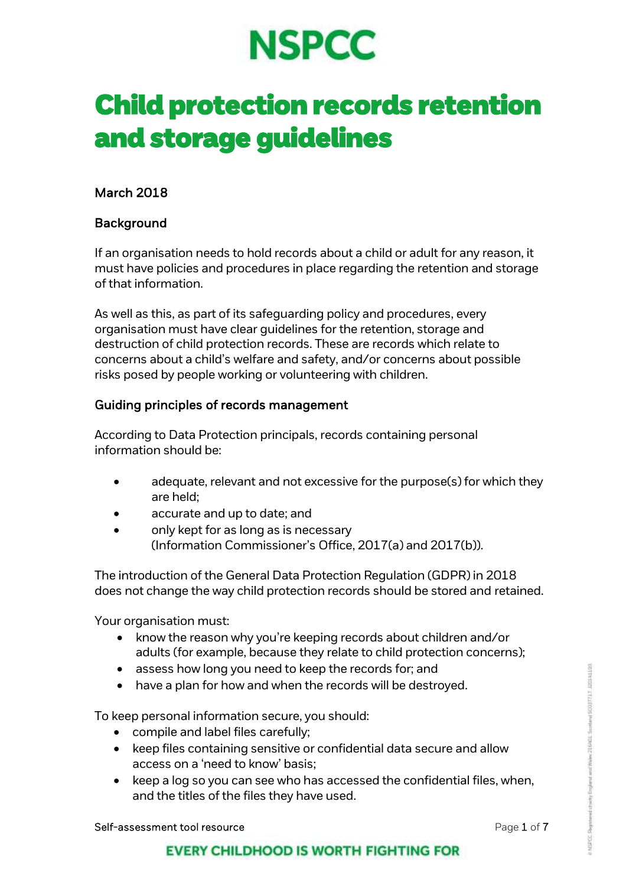# **NSPCC**

# Child protection records retention and storage guidelines

# March 2018

# Background

If an organisation needs to hold records about a child or adult for any reason, it must have policies and procedures in place regarding the retention and storage of that information.

As well as this, as part of its safeguarding policy and procedures, every organisation must have clear guidelines for the retention, storage and destruction of child protection records. These are records which relate to concerns about a child's welfare and safety, and/or concerns about possible risks posed by people working or volunteering with children.

# Guiding principles of records management

According to Data Protection principals, records containing personal information should be:

- adequate, relevant and not excessive for the purpose(s) for which they are held;
- accurate and up to date; and
- only kept for as long as is necessary (Information Commissioner's Office, 2017(a) and 2017(b)).

The introduction of the General Data Protection Regulation (GDPR) in 2018 does not change the way child protection records should be stored and retained.

Your organisation must:

- know the reason why you're keeping records about children and/or adults (for example, because they relate to child protection concerns);
- assess how long you need to keep the records for; and
- have a plan for how and when the records will be destroyed.

To keep personal information secure, you should:

- compile and label files carefully;
- keep files containing sensitive or confidential data secure and allow access on a 'need to know' basis;
- $\bullet$  keep a log so you can see who has accessed the confidential files, when, and the titles of the files they have used.

Self-assessment tool resource example 2 of 7 and 7 and 7 and 7 and 7 and 7 and 7 and 7 and 7 and 7 and 7 and 7 and 7 and 7 and 7 and 7 and 7 and 7 and 7 and 7 and 7 and 7 and 7 and 7 and 7 and 7 and 7 and 7 and 7 and 7 and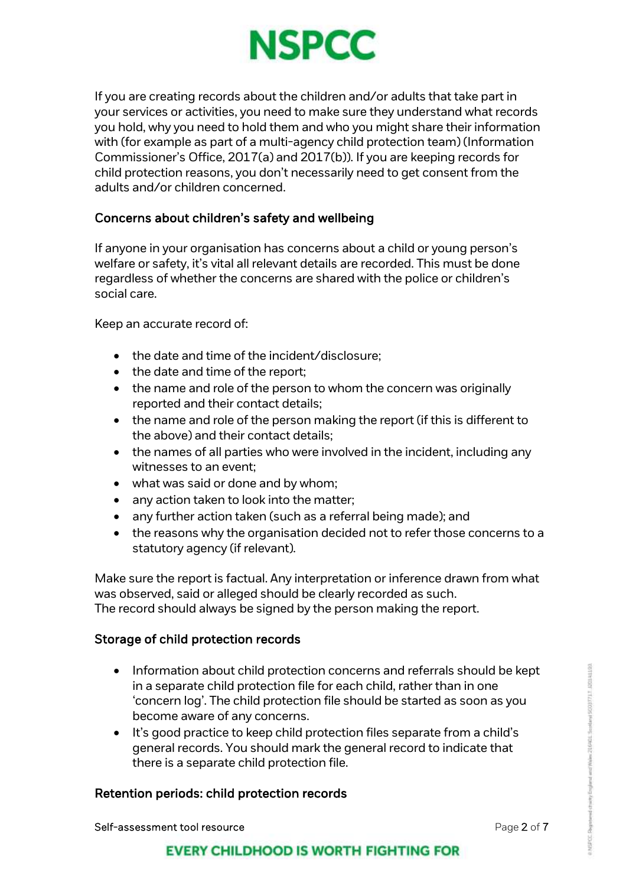

If you are creating records about the children and/or adults that take part in your services or activities, you need to make sure they understand what records you hold, why you need to hold them and who you might share their information with (for example as part of a multi-agency child protection team) (Information Commissioner's Office, 2017(a) and 2017(b)). If you are keeping records for child protection reasons, you don't necessarily need to get consent from the adults and/or children concerned.

# Concerns about children's safety and wellbeing

If anyone in your organisation has concerns about a child or young person's welfare or safety, it's vital all relevant details are recorded. This must be done regardless of whether the concerns are shared with the police or children's social care.

Keep an accurate record of:

- the date and time of the incident/disclosure;
- $\bullet$  the date and time of the report;
- the name and role of the person to whom the concern was originally reported and their contact details;
- the name and role of the person making the report (if this is different to the above) and their contact details;
- the names of all parties who were involved in the incident, including any witnesses to an event;
- what was said or done and by whom;
- any action taken to look into the matter;
- any further action taken (such as a referral being made); and
- the reasons why the organisation decided not to refer those concerns to a statutory agency (if relevant).

Make sure the report is factual. Any interpretation or inference drawn from what was observed, said or alleged should be clearly recorded as such. The record should always be signed by the person making the report.

#### Storage of child protection records

- Information about child protection concerns and referrals should be kept in a separate child protection file for each child, rather than in one 'concern log'. The child protection file should be started as soon as you become aware of any concerns.
- $\bullet$  It's good practice to keep child protection files separate from a child's general records. You should mark the general record to indicate that there is a separate child protection file.

#### Retention periods: child protection records

Self-assessment tool resource **Page 2 of 7** and 2 of 7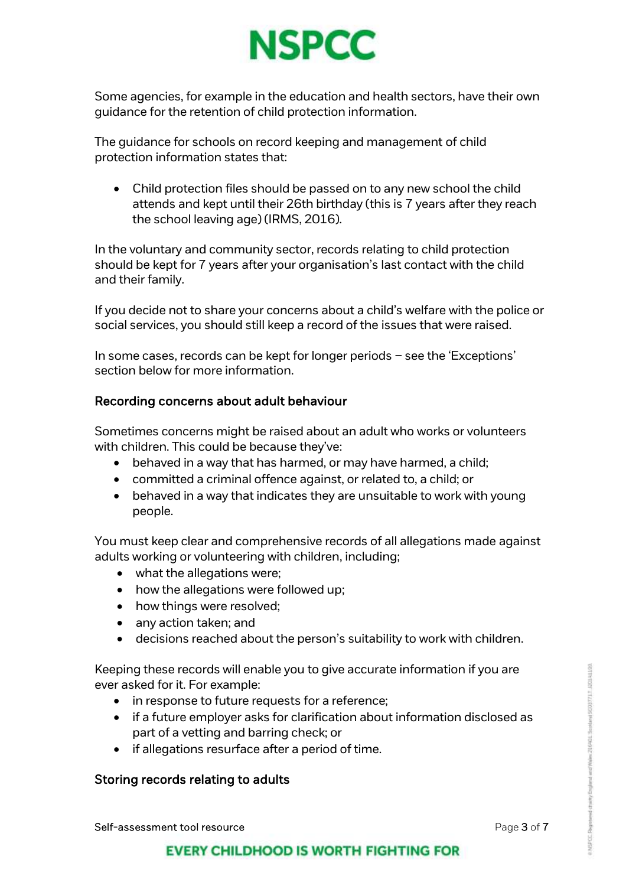

Some agencies, for example in the education and health sectors, have their own guidance for the retention of child protection information.

The guidance for schools on record keeping and management of child protection information states that:

 Child protection files should be passed on to any new school the child attends and kept until their 26th birthday (this is 7 years after they reach the school leaving age) (IRMS, 2016).

In the voluntary and community sector, records relating to child protection should be kept for 7 years after your organisation's last contact with the child and their family.

If you decide not to share your concerns about a child's welfare with the police or social services, you should still keep a record of the issues that were raised.

In some cases, records can be kept for longer periods – see the 'Exceptions' section below for more information.

# Recording concerns about adult behaviour

Sometimes concerns might be raised about an adult who works or volunteers with children. This could be because they've:

- behaved in a way that has harmed, or may have harmed, a child;
- committed a criminal offence against, or related to, a child; or
- behaved in a way that indicates they are unsuitable to work with young people.

You must keep clear and comprehensive records of all allegations made against adults working or volunteering with children, including;

- what the allegations were;
- how the allegations were followed up;
- how things were resolved;
- any action taken; and
- decisions reached about the person's suitability to work with children.

Keeping these records will enable you to give accurate information if you are ever asked for it. For example:

- in response to future requests for a reference;
- if a future employer asks for clarification about information disclosed as part of a vetting and barring check; or
- if allegations resurface after a period of time.

#### Storing records relating to adults

Self-assessment tool resource **Page 3 of 7** and 2 of 7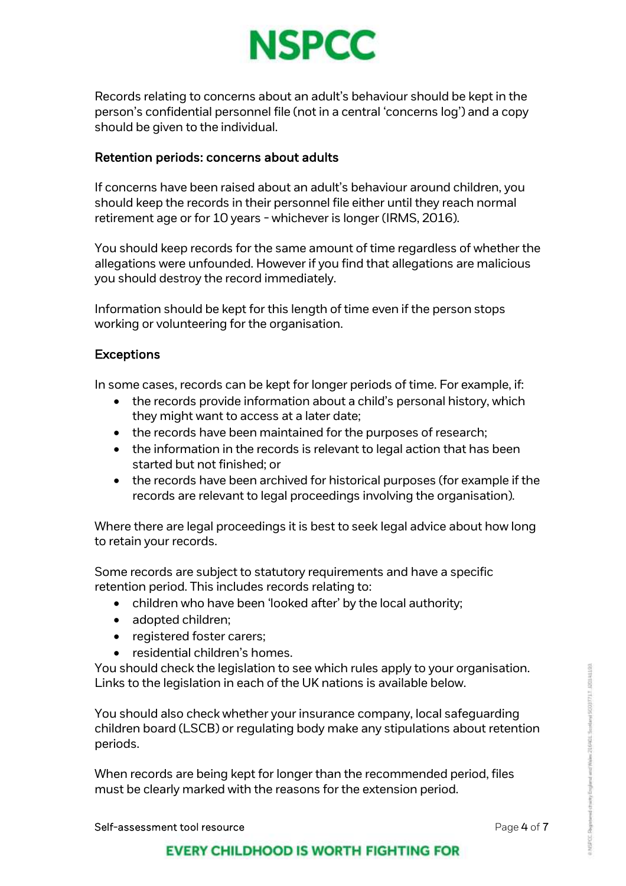

Records relating to concerns about an adult's behaviour should be kept in the person's confidential personnel file (not in a central 'concerns log') and a copy should be given to the individual.

#### Retention periods: concerns about adults

If concerns have been raised about an adult's behaviour around children, you should keep the records in their personnel file either until they reach normal retirement age or for 10 years - whichever is longer (IRMS, 2016).

You should keep records for the same amount of time regardless of whether the allegations were unfounded. However if you find that allegations are malicious you should destroy the record immediately.

Information should be kept for this length of time even if the person stops working or volunteering for the organisation.

#### Exceptions

In some cases, records can be kept for longer periods of time. For example, if:

- the records provide information about a child's personal history, which they might want to access at a later date;
- the records have been maintained for the purposes of research;
- the information in the records is relevant to legal action that has been started but not finished; or
- the records have been archived for historical purposes (for example if the records are relevant to legal proceedings involving the organisation).

Where there are legal proceedings it is best to seek legal advice about how long to retain your records.

Some records are subject to statutory requirements and have a specific retention period. This includes records relating to:

- children who have been 'looked after' by the local authority;
- adopted children;
- registered foster carers;
- residential children's homes.

You should check the legislation to see which rules apply to your organisation. Links to the legislation in each of the UK nations is available below.

You should also check whether your insurance company, local safeguarding children board (LSCB) or regulating body make any stipulations about retention periods.

When records are being kept for longer than the recommended period, files must be clearly marked with the reasons for the extension period.

Self-assessment tool resource **Page 4 of 7** and 7 and 7 and 7 and 7 and 7 and 7 and 7 and 7 and 7 and 7 and 7 and 7 and 7 and 7 and 7 and 7 and 7 and 7 and 7 and 7 and 7 and 7 and 7 and 7 and 7 and 7 and 7 and 7 and 7 and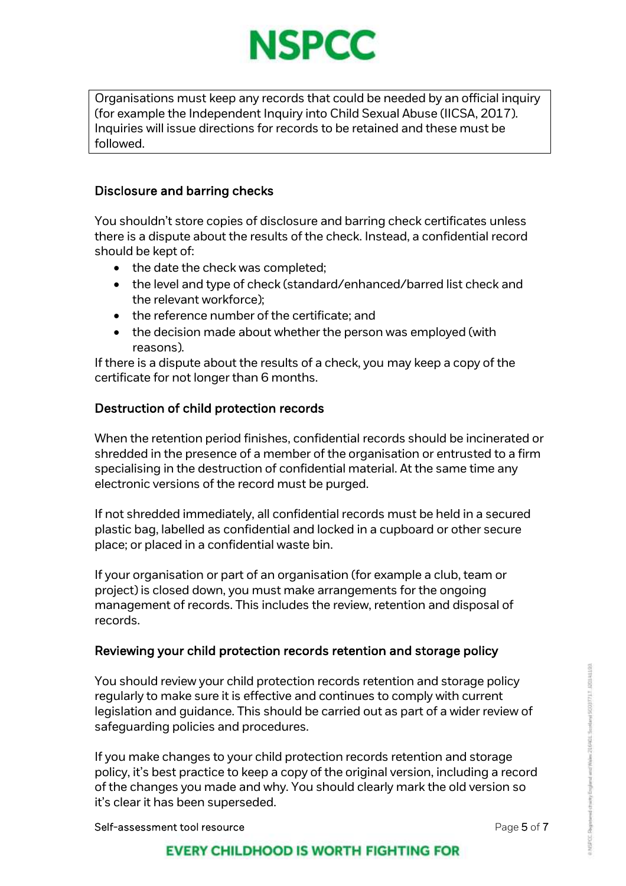

Organisations must keep any records that could be needed by an official inquiry (for example the Independent Inquiry into Child Sexual Abuse (IICSA, 2017). Inquiries will issue directions for records to be retained and these must be followed.

# Disclosure and barring checks

You shouldn't store copies of disclosure and barring check certificates unless there is a dispute about the results of the check. Instead, a confidential record should be kept of:

- the date the check was completed;
- the level and type of check (standard/enhanced/barred list check and the relevant workforce);
- the reference number of the certificate; and
- the decision made about whether the person was employed (with reasons).

If there is a dispute about the results of a check, you may keep a copy of the certificate for not longer than 6 months.

# Destruction of child protection records

When the retention period finishes, confidential records should be incinerated or shredded in the presence of a member of the organisation or entrusted to a firm specialising in the destruction of confidential material. At the same time any electronic versions of the record must be purged.

If not shredded immediately, all confidential records must be held in a secured plastic bag, labelled as confidential and locked in a cupboard or other secure place; or placed in a confidential waste bin.

If your organisation or part of an organisation (for example a club, team or project) is closed down, you must make arrangements for the ongoing management of records. This includes the review, retention and disposal of records.

# Reviewing your child protection records retention and storage policy

You should review your child protection records retention and storage policy regularly to make sure it is effective and continues to comply with current legislation and guidance. This should be carried out as part of a wider review of safeguarding policies and procedures.

If you make changes to your child protection records retention and storage policy, it's best practice to keep a copy of the original version, including a record of the changes you made and why. You should clearly mark the old version so it's clear it has been superseded.

Self-assessment tool resource **Page 1 of 7** and 7 and 7 and 7 and 7 and 7 and 7 and 7 and 7 and 7 and 7 and 7 and 7 and 7 and 7 and 7 and 7 and 7 and 7 and 7 and 7 and 7 and 7 and 7 and 7 and 7 and 7 and 7 and 7 and 7 and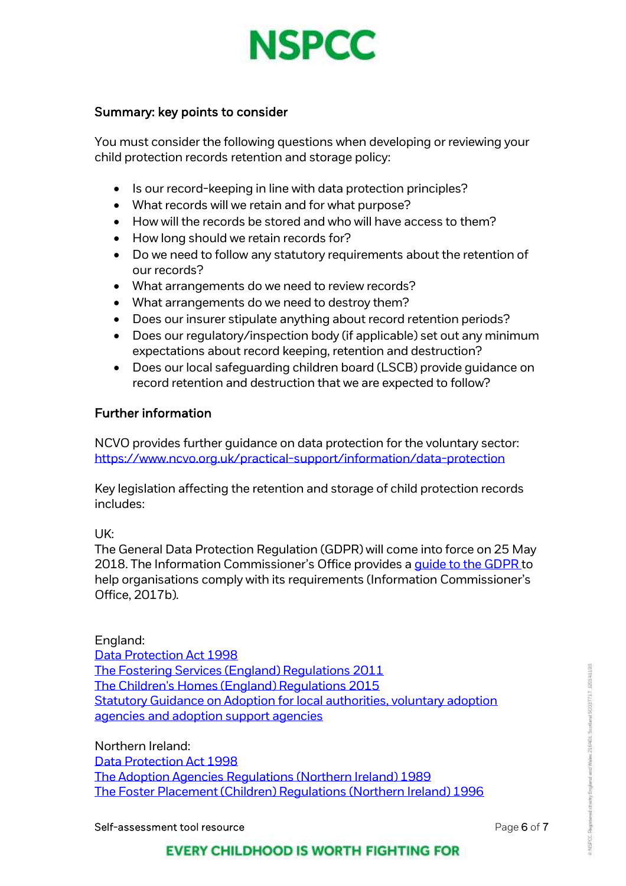

#### Summary: key points to consider

You must consider the following questions when developing or reviewing your child protection records retention and storage policy:

- Is our record-keeping in line with data protection principles?
- What records will we retain and for what purpose?
- How will the records be stored and who will have access to them?
- How long should we retain records for?
- Do we need to follow any statutory requirements about the retention of our records?
- What arrangements do we need to review records?
- What arrangements do we need to destroy them?
- Does our insurer stipulate anything about record retention periods?
- Does our regulatory/inspection body (if applicable) set out any minimum expectations about record keeping, retention and destruction?
- Does our local safeguarding children board (LSCB) provide guidance on record retention and destruction that we are expected to follow?

#### Further information

NCVO provides further guidance on data protection for the voluntary sector: <https://www.ncvo.org.uk/practical-support/information/data-protection>

Key legislation affecting the retention and storage of child protection records includes:

#### UK:

The General Data Protection Regulation (GDPR) will come into force on 25 May 2018. The Information Commissioner's Office provides a quide to the GDPR to help organisations comply with its requirements (Information Commissioner's Office, 2017b).

#### England:

[Data Protection Act 1998](http://www.legislation.gov.uk/ukpga/1998/29/contents) [The Fostering Services \(England\) Regulations 2011](http://www.legislation.gov.uk/uksi/2011/581/pdfs/uksi_20110581_en.pdf) [The Children's Homes \(England\) Regulations 2015](http://www.legislation.gov.uk/uksi/2015/541/contents/made) [Statutory Guidance on Adoption for local authorities, voluntary adoption](https://www.gov.uk/government/uploads/system/uploads/attachment_data/file/270100/adoption_statutory_guidance_2013.pdf)  [agencies and adoption support agencies](https://www.gov.uk/government/uploads/system/uploads/attachment_data/file/270100/adoption_statutory_guidance_2013.pdf)

Northern Ireland: [Data Protection Act 1998](http://www.legislation.gov.uk/ukpga/1998/29/contents) [The Adoption Agencies Regulations \(Northern Ireland\) 1989](https://www.health-ni.gov.uk/articles/adoption-agencies-regulations-northern-ireland-1989)  [The Foster Placement \(Children\) Regulations \(Northern Ireland\) 1996](https://www.health-ni.gov.uk/articles/foster-placement-children-regulations-northern-ireland-1996)

Self-assessment tool resource **Page 6 of 7** and 2011 12 and 2012 12 and 2012 12 and 2012 12 and 2012 12 and 2012